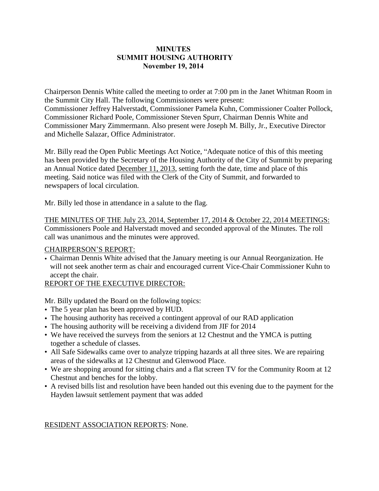### **MINUTES SUMMIT HOUSING AUTHORITY November 19, 2014**

Chairperson Dennis White called the meeting to order at 7:00 pm in the Janet Whitman Room in the Summit City Hall. The following Commissioners were present: Commissioner Jeffrey Halverstadt, Commissioner Pamela Kuhn, Commissioner Coalter Pollock, Commissioner Richard Poole, Commissioner Steven Spurr, Chairman Dennis White and Commissioner Mary Zimmermann. Also present were Joseph M. Billy, Jr., Executive Director and Michelle Salazar, Office Administrator.

Mr. Billy read the Open Public Meetings Act Notice, "Adequate notice of this of this meeting has been provided by the Secretary of the Housing Authority of the City of Summit by preparing an Annual Notice dated December 11, 2013, setting forth the date, time and place of this meeting. Said notice was filed with the Clerk of the City of Summit, and forwarded to newspapers of local circulation.

Mr. Billy led those in attendance in a salute to the flag.

THE MINUTES OF THE July 23, 2014, September 17, 2014 & October 22, 2014 MEETINGS: Commissioners Poole and Halverstadt moved and seconded approval of the Minutes. The roll call was unanimous and the minutes were approved.

### CHAIRPERSON'S REPORT:

• Chairman Dennis White advised that the January meeting is our Annual Reorganization. He will not seek another term as chair and encouraged current Vice-Chair Commissioner Kuhn to accept the chair.

## REPORT OF THE EXECUTIVE DIRECTOR:

Mr. Billy updated the Board on the following topics:

- The 5 year plan has been approved by HUD.
- The housing authority has received a contingent approval of our RAD application
- The housing authority will be receiving a dividend from JIF for 2014
- We have received the surveys from the seniors at 12 Chestnut and the YMCA is putting together a schedule of classes.
- All Safe Sidewalks came over to analyze tripping hazards at all three sites. We are repairing areas of the sidewalks at 12 Chestnut and Glenwood Place.
- We are shopping around for sitting chairs and a flat screen TV for the Community Room at 12 Chestnut and benches for the lobby.
- A revised bills list and resolution have been handed out this evening due to the payment for the Hayden lawsuit settlement payment that was added

RESIDENT ASSOCIATION REPORTS: None.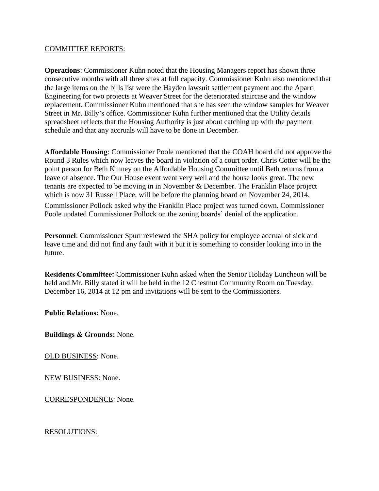#### COMMITTEE REPORTS:

**Operations**: Commissioner Kuhn noted that the Housing Managers report has shown three consecutive months with all three sites at full capacity. Commissioner Kuhn also mentioned that the large items on the bills list were the Hayden lawsuit settlement payment and the Aparri Engineering for two projects at Weaver Street for the deteriorated staircase and the window replacement. Commissioner Kuhn mentioned that she has seen the window samples for Weaver Street in Mr. Billy's office. Commissioner Kuhn further mentioned that the Utility details spreadsheet reflects that the Housing Authority is just about catching up with the payment schedule and that any accruals will have to be done in December.

**Affordable Housing**: Commissioner Poole mentioned that the COAH board did not approve the Round 3 Rules which now leaves the board in violation of a court order. Chris Cotter will be the point person for Beth Kinney on the Affordable Housing Committee until Beth returns from a leave of absence. The Our House event went very well and the house looks great. The new tenants are expected to be moving in in November & December. The Franklin Place project which is now 31 Russell Place, will be before the planning board on November 24, 2014.

Commissioner Pollock asked why the Franklin Place project was turned down. Commissioner Poole updated Commissioner Pollock on the zoning boards' denial of the application.

**Personnel**: Commissioner Spurr reviewed the SHA policy for employee accrual of sick and leave time and did not find any fault with it but it is something to consider looking into in the future.

**Residents Committee:** Commissioner Kuhn asked when the Senior Holiday Luncheon will be held and Mr. Billy stated it will be held in the 12 Chestnut Community Room on Tuesday, December 16, 2014 at 12 pm and invitations will be sent to the Commissioners.

**Public Relations:** None.

**Buildings & Grounds:** None.

OLD BUSINESS: None.

NEW BUSINESS: None.

CORRESPONDENCE: None.

RESOLUTIONS: